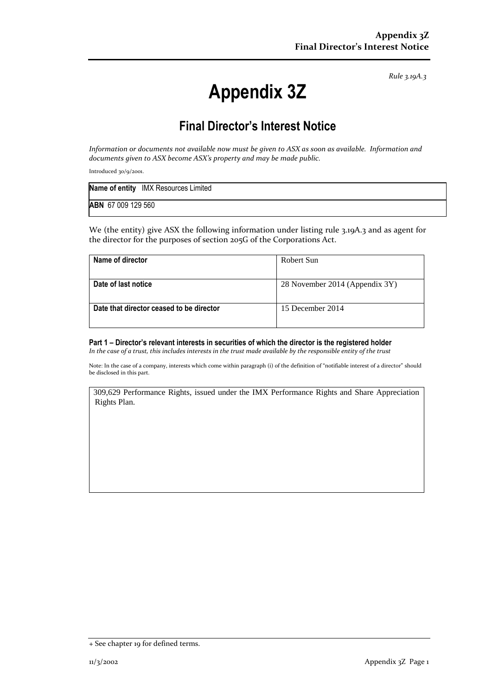*Rule 3.19A.3*

## **Appendix 3Z**

## **Final Director's Interest Notice**

*Information or documents not available now must be given to ASX as soon as available. Information and documents given to ASX become ASX's property and may be made public.*

Introduced 30/9/2001.

|                    | <b>Name of entity</b> IMX Resources Limited |
|--------------------|---------------------------------------------|
| ABN 67 009 129 560 |                                             |

We (the entity) give ASX the following information under listing rule 3.19A.3 and as agent for the director for the purposes of section 205G of the Corporations Act.

| Name of director                         | Robert Sun                     |
|------------------------------------------|--------------------------------|
|                                          |                                |
| Date of last notice                      | 28 November 2014 (Appendix 3Y) |
| Date that director ceased to be director | 15 December 2014               |

**Part 1 – Director's relevant interests in securities of which the director is the registered holder** *In the case of a trust, this includes interests in the trust made available by the responsible entity of the trust*

Note: In the case of a company, interests which come within paragraph (i) of the definition of "notifiable interest of a director" should be disclosed in this part.

309,629 Performance Rights, issued under the IMX Performance Rights and Share Appreciation Rights Plan.

<sup>+</sup> See chapter 19 for defined terms.